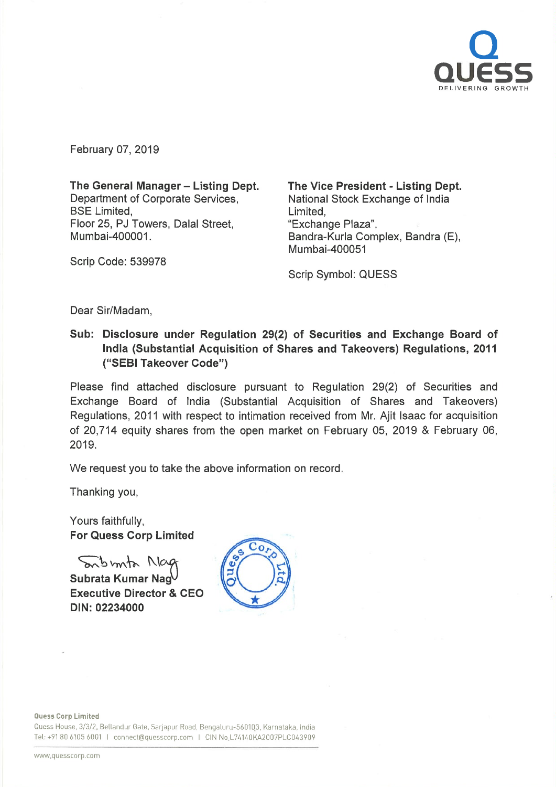

February 07, 2019

The General Manager - Listing Dept. Department of Corporate Services, **BSE** Limited. Floor 25, PJ Towers, Dalal Street, Mumbai-400001.

The Vice President - Listing Dept. National Stock Exchange of India Limited, "Exchange Plaza", Bandra-Kurla Complex, Bandra (E), Mumbai-400051

Scrip Symbol: QUESS

Dear Sir/Madam,

Scrip Code: 539978

Sub: Disclosure under Regulation 29(2) of Securities and Exchange Board of India (Substantial Acquisition of Shares and Takeovers) Regulations, 2011 ("SEBI Takeover Code")

Please find attached disclosure pursuant to Regulation 29(2) of Securities and Exchange Board of India (Substantial Acquisition of Shares and Takeovers) Regulations, 2011 with respect to intimation received from Mr. Ajit Isaac for acquisition of 20,714 equity shares from the open market on February 05, 2019 & February 06, 2019.

We request you to take the above information on record.

Thanking you,

Yours faithfully, For Quess Corp Limited

Sonbirnta Nag

Subrata Kumar Nag Executive Director & CEO DIN: 02234000



Quess Corp Limited

Quess House, 3/3/2, Bellandur Gate, Sarjapur Road, Bengaluru-560103, Karnataka. India Tel: +91 80 6105 6001 I connect@quesscorp.com I CIN No.L74140KA2007PLC043909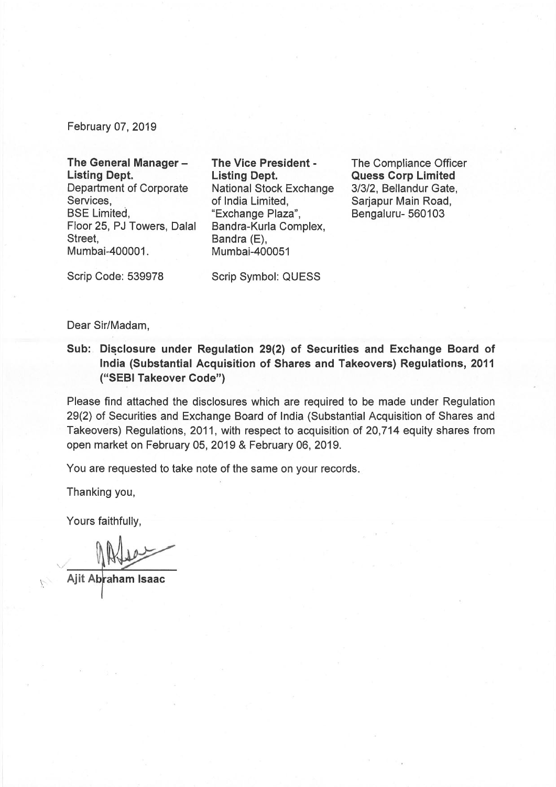February 07, 2019

## The General Manager -Listing Dept.

Department of Corporate Services, BSE Limited, Floor 25, PJ Towers, Dalal Street, Mumbai-400001.

The Vice President - Listing Dept. National Stock Exchange of India Limited, "Exchange Plaza", Bandra-Kurla Complex, Bandra (E), Mumbai-400051

The Compliance Officer Quess Corp Limited 3/3/2, Bellandur Gate, Sarjapur Main Road, Bengaluru- 560103

Scrip Code: 539978

Scrip Symbol: QUESS

## Dear Sir/Madam,

Sub: Disclosure under Regulation 29(2) of Securities and Exchange Board of India (Substantial Acquisition of Shares and Takeovers) Regulations, 2011 ("SEBI Takeover Code")

Please find attached the disclosures which are required to be made under Regulation 29(2) of Securities and Exchange Board of India (Substantial Acquisition of Shares and Takeovers) Regulations, 2011, with respect to acquisition of 20,714 equity shares from open market on February 05, 2019 & February 06, 2019.

You are requested to take note of the same on your records.

Thanking you,

Yours faithfully,

Ajit Abraham Isaac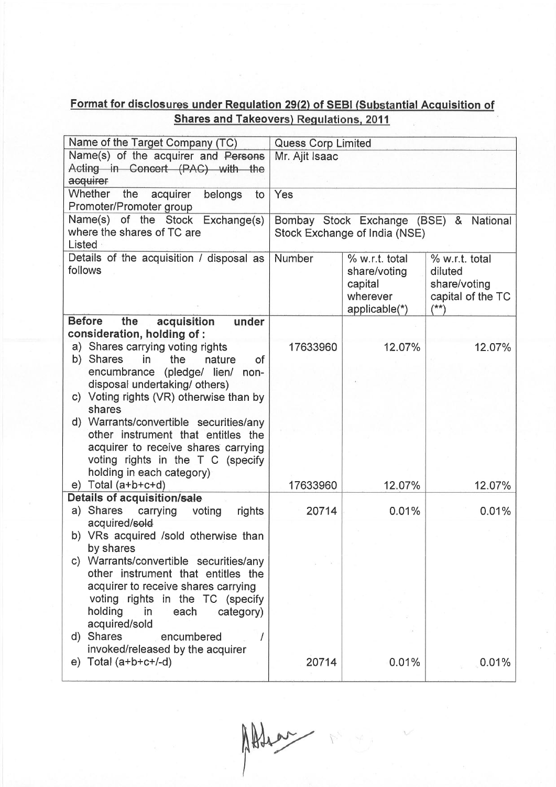## Format for disclosures under Regulation 29(2) of SEBI (Substantial Acquisition of Shares and Takeovers) Regulations, 2011

| Name of the Target Company (TC)                            | <b>Quess Corp Limited</b>              |                |                               |  |
|------------------------------------------------------------|----------------------------------------|----------------|-------------------------------|--|
| Name(s) of the acquirer and Persons                        | Mr. Ajit Isaac                         |                |                               |  |
| Acting in Concert (PAC) with the                           |                                        |                |                               |  |
| acquirer                                                   |                                        |                |                               |  |
| <b>Whether</b><br>the<br>acquirer<br>belongs<br>to         | Yes                                    |                |                               |  |
| Promoter/Promoter group                                    |                                        |                |                               |  |
| Name(s) of the Stock Exchange(s)                           | Bombay Stock Exchange (BSE) & National |                |                               |  |
| where the shares of TC are                                 | Stock Exchange of India (NSE)          |                |                               |  |
| Listed                                                     |                                        |                |                               |  |
| Details of the acquisition / disposal as                   | Number                                 | % w.r.t. total | % w.r.t. total                |  |
| follows                                                    |                                        | share/voting   | diluted                       |  |
|                                                            |                                        | capital        | share/voting                  |  |
|                                                            |                                        | wherever       | capital of the TC<br>$^{(*)}$ |  |
| <b>Before</b><br>the<br>acquisition<br>under               |                                        | applicable(*)  |                               |  |
| consideration, holding of:                                 |                                        |                |                               |  |
| a) Shares carrying voting rights                           | 17633960                               | 12.07%         | 12.07%                        |  |
| b) Shares<br>in<br>the<br>nature<br><b>of</b>              |                                        |                |                               |  |
| encumbrance (pledge/ lien/ non-                            |                                        |                |                               |  |
| disposal undertaking/ others)                              |                                        |                |                               |  |
| c) Voting rights (VR) otherwise than by                    |                                        |                |                               |  |
| shares                                                     |                                        |                |                               |  |
| d) Warrants/convertible securities/any                     |                                        |                |                               |  |
| other instrument that entitles the                         |                                        |                |                               |  |
| acquirer to receive shares carrying                        |                                        |                |                               |  |
| voting rights in the T C (specify                          |                                        |                |                               |  |
| holding in each category)                                  |                                        |                |                               |  |
| $e)$ Total (a+b+c+d)<br><b>Details of acquisition/sale</b> | 17633960                               | 12.07%         | 12.07%                        |  |
| a) Shares<br>carrying<br>voting<br>rights                  | 20714                                  | 0.01%          | 0.01%                         |  |
| acquired/sold                                              |                                        |                |                               |  |
| b) VRs acquired /sold otherwise than                       |                                        |                |                               |  |
| by shares                                                  |                                        |                |                               |  |
| c) Warrants/convertible securities/any                     |                                        |                |                               |  |
| other instrument that entitles the                         |                                        |                |                               |  |
| acquirer to receive shares carrying                        |                                        |                |                               |  |
| voting rights in the TC (specify                           |                                        |                |                               |  |
| holding<br>in<br>each<br>category)                         |                                        |                |                               |  |
| acquired/sold                                              |                                        |                |                               |  |
| <b>Shares</b><br>encumbered<br>d)                          |                                        |                |                               |  |
| invoked/released by the acquirer                           |                                        |                |                               |  |
| e) Total $(a+b+c+/-d)$                                     | 20714                                  | 0.01%          | 0.01%                         |  |

Alter